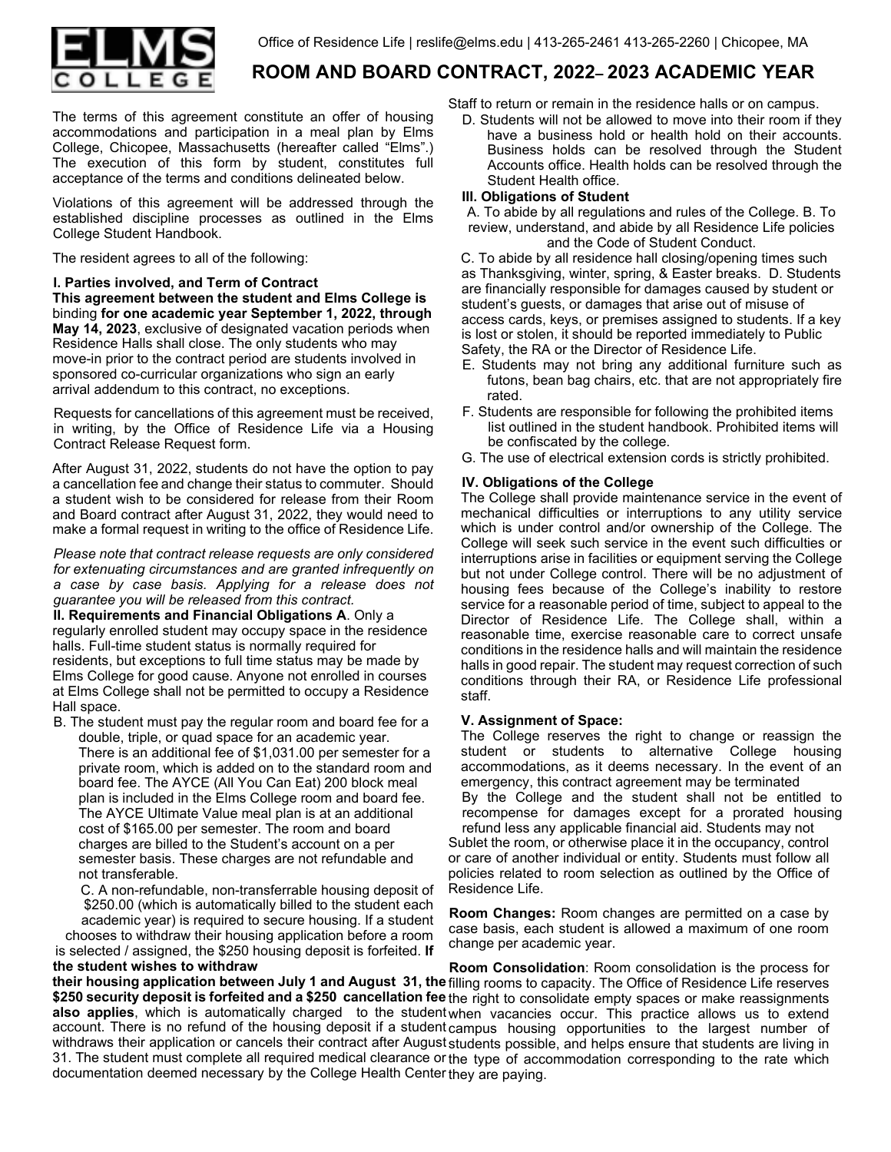

# **ROOM AND BOARD CONTRACT, 2022– 2023 ACADEMIC YEAR**

The terms of this agreement constitute an offer of housing accommodations and participation in a meal plan by Elms College, Chicopee, Massachusetts (hereafter called "Elms".) The execution of this form by student, constitutes full acceptance of the terms and conditions delineated below.

Violations of this agreement will be addressed through the established discipline processes as outlined in the Elms College Student Handbook.

The resident agrees to all of the following:

**I. Parties involved, and Term of Contract This agreement between the student and Elms College is**  binding **for one academic year September 1, 2022, through May 14, 2023**, exclusive of designated vacation periods when Residence Halls shall close. The only students who may move-in prior to the contract period are students involved in sponsored co-curricular organizations who sign an early arrival addendum to this contract, no exceptions.

Requests for cancellations of this agreement must be received, in writing, by the Office of Residence Life via a Housing Contract Release Request form.

After August 31, 2022, students do not have the option to pay a cancellation fee and change their status to commuter. Should a student wish to be considered for release from their Room and Board contract after August 31, 2022, they would need to make a formal request in writing to the office of Residence Life.

*Please note that contract release requests are only considered for extenuating circumstances and are granted infrequently on a case by case basis. Applying for a release does not guarantee you will be released from this contract.* 

**II. Requirements and Financial Obligations A**. Only a regularly enrolled student may occupy space in the residence halls. Full-time student status is normally required for residents, but exceptions to full time status may be made by Elms College for good cause. Anyone not enrolled in courses at Elms College shall not be permitted to occupy a Residence Hall space.

B. The student must pay the regular room and board fee for a double, triple, or quad space for an academic year.

There is an additional fee of \$1,031.00 per semester for a private room, which is added on to the standard room and board fee. The AYCE (All You Can Eat) 200 block meal plan is included in the Elms College room and board fee. The AYCE Ultimate Value meal plan is at an additional cost of \$165.00 per semester. The room and board charges are billed to the Student's account on a per semester basis. These charges are not refundable and not transferable.

C. A non-refundable, non-transferrable housing deposit of \$250.00 (which is automatically billed to the student each academic year) is required to secure housing. If a student chooses to withdraw their housing application before a room

is selected / assigned, the \$250 housing deposit is forfeited. **If the student wishes to withdraw** 

Staff to return or remain in the residence halls or on campus.

D. Students will not be allowed to move into their room if they have a business hold or health hold on their accounts. Business holds can be resolved through the Student Accounts office. Health holds can be resolved through the Student Health office.

## **III. Obligations of Student**

A. To abide by all regulations and rules of the College. B. To review, understand, and abide by all Residence Life policies and the Code of Student Conduct.

C. To abide by all residence hall closing/opening times such as Thanksgiving, winter, spring, & Easter breaks. D. Students are financially responsible for damages caused by student or student's guests, or damages that arise out of misuse of access cards, keys, or premises assigned to students. If a key is lost or stolen, it should be reported immediately to Public Safety, the RA or the Director of Residence Life.

- E. Students may not bring any additional furniture such as futons, bean bag chairs, etc. that are not appropriately fire rated.
- F. Students are responsible for following the prohibited items list outlined in the student handbook. Prohibited items will be confiscated by the college.
- G. The use of electrical extension cords is strictly prohibited.

## **IV. Obligations of the College**

The College shall provide maintenance service in the event of mechanical difficulties or interruptions to any utility service which is under control and/or ownership of the College. The College will seek such service in the event such difficulties or interruptions arise in facilities or equipment serving the College but not under College control. There will be no adjustment of housing fees because of the College's inability to restore service for a reasonable period of time, subject to appeal to the Director of Residence Life. The College shall, within a reasonable time, exercise reasonable care to correct unsafe conditions in the residence halls and will maintain the residence halls in good repair. The student may request correction of such conditions through their RA, or Residence Life professional staff.

## **V. Assignment of Space:**

The College reserves the right to change or reassign the student or students to alternative College housing accommodations, as it deems necessary. In the event of an emergency, this contract agreement may be terminated By the College and the student shall not be entitled to recompense for damages except for a prorated housing refund less any applicable financial aid. Students may not Sublet the room, or otherwise place it in the occupancy, control or care of another individual or entity. Students must follow all policies related to room selection as outlined by the Office of Residence Life.

**Room Changes:** Room changes are permitted on a case by case basis, each student is allowed a maximum of one room change per academic year.

**their housing application between July 1 and August 31, the**  filling rooms to capacity. The Office of Residence Life reserves **\$250 security deposit is forfeited and a \$250 cancellation fee**  the right to consolidate empty spaces or make reassignments **also applies**, which is automatically charged to the student when vacancies occur. This practice allows us to extend account. There is no refund of the housing deposit if a student<sub>campus housing opportunities to the largest number of</sub> withdraws their application or cancels their contract after August students possible, and helps ensure that students are living in 31. The student must complete all required medical clearance or the type of accommodation corresponding to the rate which documentation deemed necessary by the College Health Center they are paying. **Room Consolidation**: Room consolidation is the process for